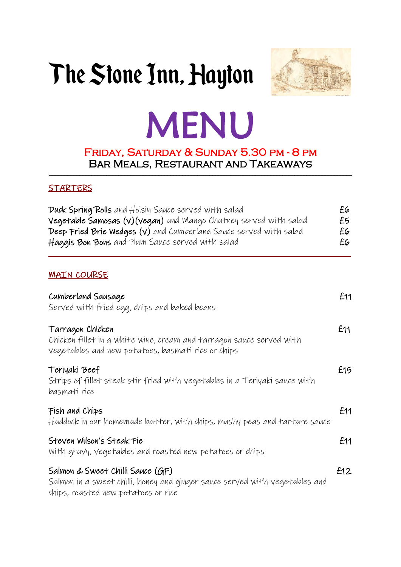## The Stone Inn, Hayton



# MENU

#### Friday, Saturday & Sunday 5.30 pm - 8 pm Bar Meals, Restaurant and Takeaways  $\mathcal{L}_\mathcal{L} = \mathcal{L}_\mathcal{L} = \mathcal{L}_\mathcal{L} = \mathcal{L}_\mathcal{L} = \mathcal{L}_\mathcal{L} = \mathcal{L}_\mathcal{L} = \mathcal{L}_\mathcal{L} = \mathcal{L}_\mathcal{L} = \mathcal{L}_\mathcal{L} = \mathcal{L}_\mathcal{L} = \mathcal{L}_\mathcal{L} = \mathcal{L}_\mathcal{L} = \mathcal{L}_\mathcal{L} = \mathcal{L}_\mathcal{L}$

### **STARTERS**

### **MAIN COURSE**

| Cumberland Sausage<br>Served with fried egg, chips and baked beans                                                                                     | £11 |
|--------------------------------------------------------------------------------------------------------------------------------------------------------|-----|
| Tarragon Chicken<br>Chicken fillet in a white wine, cream and tarragon sauce served with<br>vegetables and new potatoes, basmati rice or chips         | £11 |
| Teriyaki Beef<br>Strips of fillet steak stir fried with vegetables in a Teriyaki sauce with<br>basmati rice                                            | £15 |
| Fish and Chips<br>Haddock in our homemade batter, with chips, mushy peas and tartare sauce                                                             | £11 |
| Steven Wilson's Steak Pie<br>With gravy, vegetables and roasted new potatoes or chips                                                                  | £11 |
| Salmon & Sweet Chilli Sauce (GF)<br>Salmon in a sweet chilli, honey and ginger sauce served with vegetables and<br>chips, roasted new potatoes or rice | £12 |